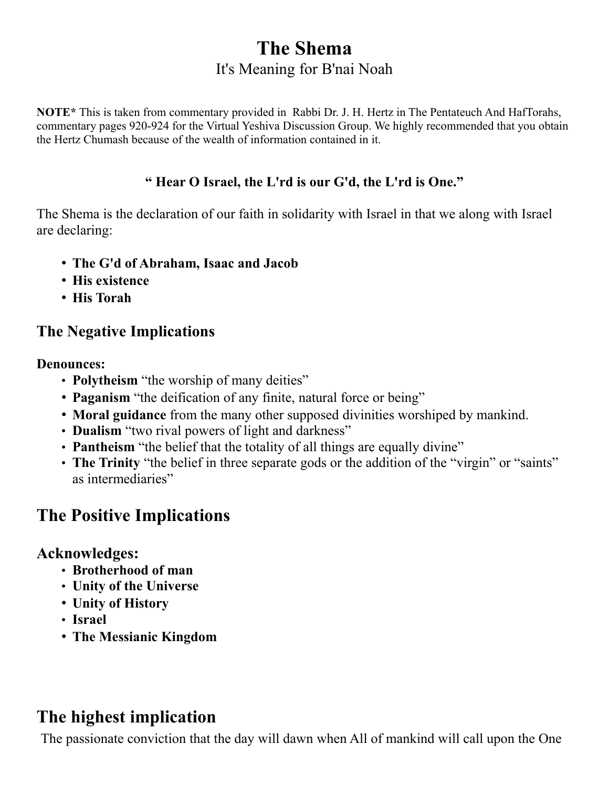## **The Shema** It's Meaning for B'nai Noah

**NOTE\*** This is taken from commentary provided in Rabbi Dr. J. H. Hertz in The Pentateuch And HafTorahs, commentary pages 920-924 for the Virtual Yeshiva Discussion Group. We highly recommended that you obtain the Hertz Chumash because of the wealth of information contained in it.

### **" Hear O Israel, the L'rd is our G'd, the L'rd is One."**

The Shema is the declaration of our faith in solidarity with Israel in that we along with Israel are declaring:

- **The G'd of Abraham, Isaac and Jacob**
- **His existence**
- **His Torah**

### **The Negative Implications**

**Denounces:**

- **Polytheism** "the worship of many deities"
- **Paganism** "the deification of any finite, natural force or being"
- **Moral guidance** from the many other supposed divinities worshiped by mankind.
- **Dualism** "two rival powers of light and darkness"
- **Pantheism** "the belief that the totality of all things are equally divine"
- The Trinity "the belief in three separate gods or the addition of the "virgin" or "saints" as intermediaries"

# **The Positive Implications**

### **Acknowledges:**

- **Brotherhood of man**
- **Unity of the Universe**
- **Unity of History**
- **Israel**
- **The Messianic Kingdom**

# **The highest implication**

The passionate conviction that the day will dawn when All of mankind will call upon the One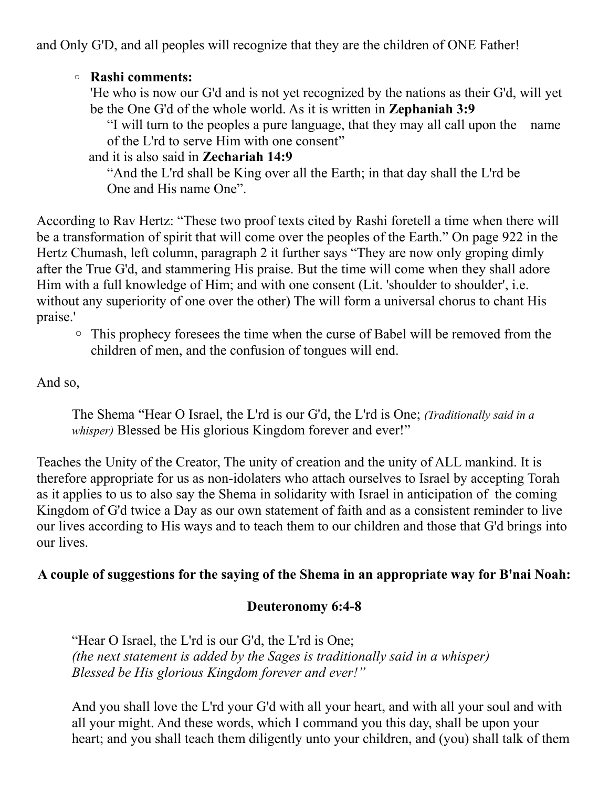and Only G'D, and all peoples will recognize that they are the children of ONE Father!

#### ◦ **Rashi comments:**

'He who is now our G'd and is not yet recognized by the nations as their G'd, will yet be the One G'd of the whole world. As it is written in **Zephaniah 3:9**

"I will turn to the peoples a pure language, that they may all call upon the name of the L'rd to serve Him with one consent"

and it is also said in **Zechariah 14:9**

"And the L'rd shall be King over all the Earth; in that day shall the L'rd be One and His name One".

According to Rav Hertz: "These two proof texts cited by Rashi foretell a time when there will be a transformation of spirit that will come over the peoples of the Earth." On page 922 in the Hertz Chumash, left column, paragraph 2 it further says "They are now only groping dimly after the True G'd, and stammering His praise. But the time will come when they shall adore Him with a full knowledge of Him; and with one consent (Lit. 'shoulder to shoulder', i.e. without any superiority of one over the other) The will form a universal chorus to chant His praise.'

◦ This prophecy foresees the time when the curse of Babel will be removed from the children of men, and the confusion of tongues will end.

And so,

The Shema "Hear O Israel, the L'rd is our G'd, the L'rd is One; *(Traditionally said in a whisper*) Blessed be His glorious Kingdom forever and ever!"

Teaches the Unity of the Creator, The unity of creation and the unity of ALL mankind. It is therefore appropriate for us as non-idolaters who attach ourselves to Israel by accepting Torah as it applies to us to also say the Shema in solidarity with Israel in anticipation of the coming Kingdom of G'd twice a Day as our own statement of faith and as a consistent reminder to live our lives according to His ways and to teach them to our children and those that G'd brings into our lives.

### **A couple of suggestions for the saying of the Shema in an appropriate way for B'nai Noah:**

#### **Deuteronomy 6:4-8**

"Hear O Israel, the L'rd is our G'd, the L'rd is One; *(the next statement is added by the Sages is traditionally said in a whisper) Blessed be His glorious Kingdom forever and ever!"*

And you shall love the L'rd your G'd with all your heart, and with all your soul and with all your might. And these words, which I command you this day, shall be upon your heart; and you shall teach them diligently unto your children, and (you) shall talk of them